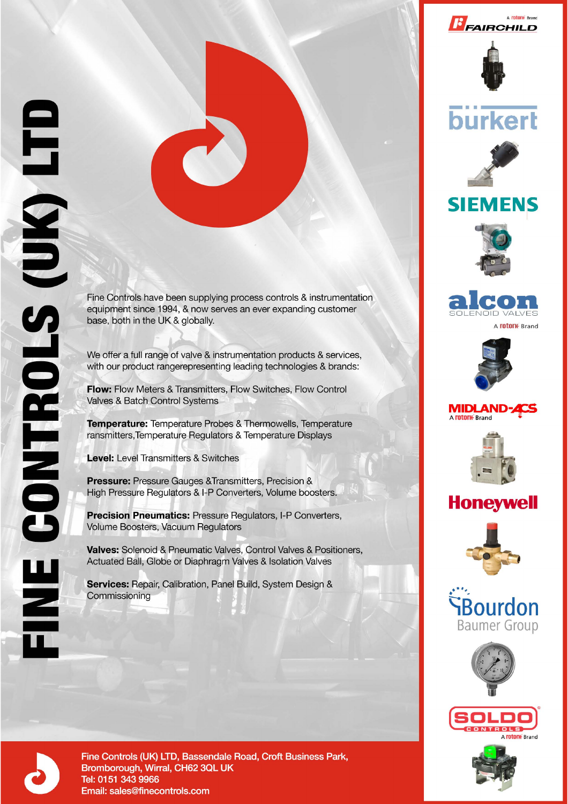



# **burkert**







We offer a full range of valve & instrumentation products & services,

Fine Controls have been supplying process controls & instrumentation equipment since 1994, & now serves an ever expanding customer

with our product rangerepresenting leading technologies & brands: Flow: Flow Meters & Transmitters, Flow Switches, Flow Control

Valves & Batch Control Systems

Temperature: Temperature Probes & Thermowells, Temperature ransmitters, Temperature Regulators & Temperature Displays

**Level:** Level Transmitters & Switches

base, both in the UK & globally.

**Pressure:** Pressure Gauges & Transmitters, Precision & High Pressure Regulators & I-P Converters, Volume boosters.

**Precision Pneumatics: Pressure Requlators, I-P Converters,** Volume Boosters, Vacuum Regulators

**Valves:** Solenoid & Pneumatic Valves, Control Valves & Positioners, Actuated Ball, Globe or Diaphragm Valves & Isolation Valves

Services: Repair, Calibration, Panel Build, System Design & Commissioning



A **rotork** Brand

#### **MIDLAND-ACS** A **rotork** Brand



### **Honeywell**













Fine Controls (UK) LTD, Bassendale Road, Croft Business Park, Bromborough, Wirral, CH62 3QL UK Tel: 0151 343 9966 Email: sales@finecontrols.com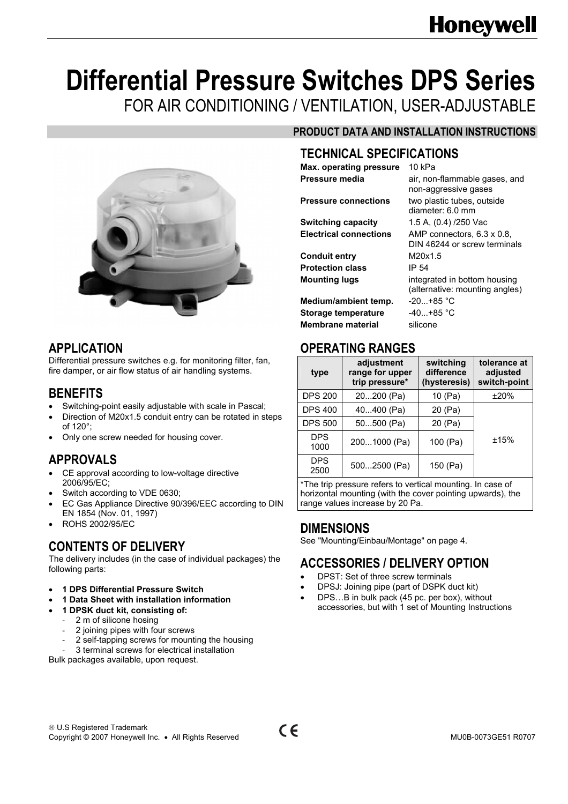## **Honeywell**

# **Differential Pressure Switches DPS Series**

FOR AIR CONDITIONING / VENTILATION, USER-ADJUSTABLE



#### **APPLICATION**

Differential pressure switches e.g. for monitoring filter, fan, fire damper, or air flow status of air handling systems.

#### **BENEFITS**

- Switching-point easily adjustable with scale in Pascal;
- Direction of M20x1.5 conduit entry can be rotated in steps of 120°;
- Only one screw needed for housing cover.

#### **APPROVALS**

- CE approval according to low-voltage directive 2006/95/EC;
- Switch according to VDE 0630;
- EC Gas Appliance Directive 90/396/EEC according to DIN EN 1854 (Nov. 01, 1997)
- ROHS 2002/95/EC

#### **CONTENTS OF DELIVERY**

The delivery includes (in the case of individual packages) the following parts:

- **1 DPS Differential Pressure Switch**
- **1 Data Sheet with installation information**
- **1 DPSK duct kit, consisting of:** 
	- 2 m of silicone hosing
	- 2 joining pipes with four screws
	- 2 self-tapping screws for mounting the housing

3 terminal screws for electrical installation Bulk packages available, upon request.

#### **PRODUCT DATA AND INSTALLATION INSTRUCTIONS**

non-aggressive gases

DIN 46244 or screw terminals

(alternative: mounting angles)

diameter: 6.0 mm

#### **TECHNICAL SPECIFICATIONS**

**Max. operating pressure** 10 kPa **Pressure media** air, non-flammable gases, and

**Pressure connections** two plastic tubes, outside

**Switching capacity** 1.5 A, (0.4) /250 Vac **Electrical connections** AMP connectors, 6.3 x 0.8,

**Conduit entry** M20x1.5 **Protection class** IP 54 **Mounting lugs** integrated in bottom housing

Medium/ambient temp. -20...+85 °C **Storage temperature** -40...+85 °C **Membrane material** silicone

#### **OPERATING RANGES**

| type               | adjustment<br>range for upper<br>trip pressure* | switching<br>difference<br>(hysteresis) | tolerance at<br>adjusted<br>switch-point |
|--------------------|-------------------------------------------------|-----------------------------------------|------------------------------------------|
| <b>DPS 200</b>     | 20200 (Pa)                                      | 10 (Pa)                                 | ±20%                                     |
| <b>DPS 400</b>     | 40400 (Pa)                                      | 20 (Pa)                                 |                                          |
| <b>DPS 500</b>     | 50500 (Pa)                                      | 20 (Pa)                                 |                                          |
| <b>DPS</b><br>1000 | 2001000 (Pa)                                    | 100 (Pa)                                | ±15%                                     |
| <b>DPS</b><br>2500 | 5002500 (Pa)                                    | 150 (Pa)                                |                                          |

\*The trip pressure refers to vertical mounting. In case of horizontal mounting (with the cover pointing upwards), the range values increase by 20 Pa.

#### **DIMENSIONS**

See "Mounting/Einbau/Montage" on page 4.

#### **ACCESSORIES / DELIVERY OPTION**

- DPST: Set of three screw terminals
- DPSJ: Joining pipe (part of DSPK duct kit)
- DPS…B in bulk pack (45 pc. per box), without accessories, but with 1 set of Mounting Instructions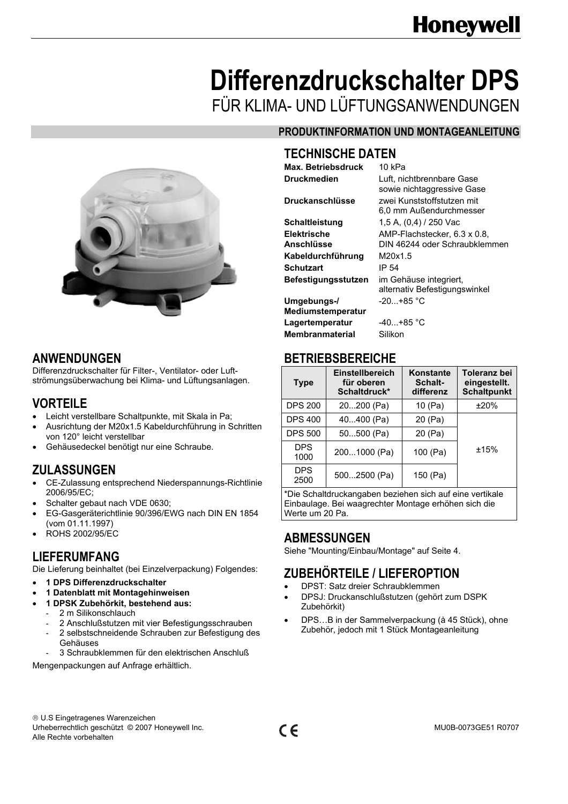### **Differenzdruckschalter DPS**  FÜR KLIMA- UND LÜFTUNGSANWENDUNGEN



#### **ANWENDUNGEN**

Differenzdruckschalter für Filter-, Ventilator- oder Luftströmungsüberwachung bei Klima- und Lüftungsanlagen.

#### **VORTEILE**

- Leicht verstellbare Schaltpunkte, mit Skala in Pa;
- Ausrichtung der M20x1.5 Kabeldurchführung in Schritten von 120° leicht verstellbar
- Gehäusedeckel benötigt nur eine Schraube.

#### **ZULASSUNGEN**

- CE-Zulassung entsprechend Niederspannungs-Richtlinie 2006/95/EC;
- Schalter gebaut nach VDE 0630;
- EG-Gasgeräterichtlinie 90/396/EWG nach DIN EN 1854 (vom 01.11.1997)
- ROHS 2002/95/EC

#### **LIEFERUMFANG**

Die Lieferung beinhaltet (bei Einzelverpackung) Folgendes:

- **1 DPS Differenzdruckschalter**
- **1 Datenblatt mit Montagehinweisen**
- **1 DPSK Zubehörkit, bestehend aus:**
- 2 m Silikonschlauch
	- 2 Anschlußstutzen mit vier Befestigungsschrauben 2 selbstschneidende Schrauben zur Befestigung des
	- Gehäuses
	- 3 Schraubklemmen für den elektrischen Anschluß

Mengenpackungen auf Anfrage erhältlich.

#### **PRODUKTINFORMATION UND MONTAGEANLEITUNG**

#### **TECHNISCHE DATEN**

**Max. Betriebsdruck** 10 kPa

| <b>Druckmedien</b>         | Luft, nichtbrennbare Gase     |
|----------------------------|-------------------------------|
|                            | sowie nichtaggressive Gase    |
| <b>Druckanschlüsse</b>     | zwei Kunststoffstutzen mit    |
|                            | 6,0 mm Außendurchmesser       |
| Schaltleistung             | 1,5 A, (0,4) / 250 Vac        |
| <b>Elektrische</b>         | AMP-Flachstecker, 6.3 x 0.8,  |
| Anschlüsse                 | DIN 46244 oder Schraubklemmen |
| Kabeldurchführung          | M20x1.5                       |
| <b>Schutzart</b>           | IP 54                         |
| <b>Befestigungsstutzen</b> | im Gehäuse integriert,        |
|                            | alternativ Befestigungswinkel |
| Umgebungs-/                | $-20+85$ °C                   |
| <b>Mediumstemperatur</b>   |                               |
| Lagertemperatur            | -40…+85 °C                    |
| <b>Membranmaterial</b>     | Silikon                       |

#### **BETRIEBSBEREICHE**

| <b>Type</b>        | Einstellbereich<br>für oberen<br>Schaltdruck* | Konstante<br>Schalt-<br>differenz | Toleranz bei<br>eingestellt.<br><b>Schaltpunkt</b> |
|--------------------|-----------------------------------------------|-----------------------------------|----------------------------------------------------|
| <b>DPS 200</b>     | 20200 (Pa)                                    | 10 (Pa)                           | ±20%                                               |
| <b>DPS 400</b>     | 40400 (Pa)                                    | 20 (Pa)                           |                                                    |
| <b>DPS 500</b>     | 50500 (Pa)                                    | 20 (Pa)                           |                                                    |
| <b>DPS</b><br>1000 | 2001000 (Pa)                                  | 100 (Pa)                          | ±15%                                               |
| <b>DPS</b><br>2500 | 5002500 (Pa)                                  | 150 (Pa)                          |                                                    |

\*Die Schaltdruckangaben beziehen sich auf eine vertikale Einbaulage. Bei waagrechter Montage erhöhen sich die Werte um 20 Pa.

#### **ABMESSUNGEN**

Siehe "Mounting/Einbau/Montage" auf Seite 4.

#### **ZUBEHÖRTEILE / LIEFEROPTION**

- DPST: Satz dreier Schraubklemmen
- DPSJ: Druckanschlußstutzen (gehört zum DSPK Zubehörkit)
- DPS…B in der Sammelverpackung (à 45 Stück), ohne Zubehör, jedoch mit 1 Stück Montageanleitung

® U.S Eingetragenes Warenzeichen Urheberrechtlich geschützt © 2007 Honeywell Inc. COMEXAMELY CONTROLLER MU0B-0073GE51 R0707 Alle Rechte vorbehalten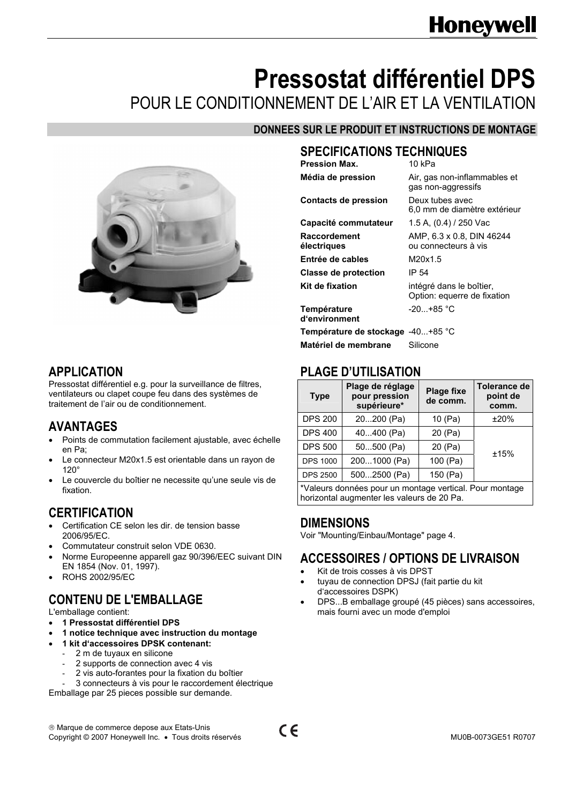### **Honeywell**

### **Pressostat différentiel DPS**  POUR LE CONDITIONNEMENT DE L'AIR ET LA VENTILATION

#### **DONNEES SUR LE PRODUIT ET INSTRUCTIONS DE MONTAGE**



#### **APPLICATION**

Pressostat différentiel e.g. pour la surveillance de filtres, ventilateurs ou clapet coupe feu dans des systèmes de traitement de l'air ou de conditionnement.

#### **AVANTAGES**

- Points de commutation facilement ajustable, avec échelle en Pa;
- Le connecteur M20x1.5 est orientable dans un rayon de 120°
- Le couvercle du boîtier ne necessite qu'une seule vis de fixation.

#### **CERTIFICATION**

- Certification CE selon les dir. de tension basse 2006/95/EC.
- Commutateur construit selon VDE 0630.
- Norme Europeenne apparell gaz 90/396/EEC suivant DIN EN 1854 (Nov. 01, 1997).
- ROHS 2002/95/EC

#### **CONTENU DE L'EMBALLAGE**

L'emballage contient:

- **1 Pressostat différentiel DPS**
- **1 notice technique avec instruction du montage**
- **1 kit d'accessoires DPSK contenant:** 
	- 2 m de tuyaux en silicone
	- 2 supports de connection avec 4 vis
	- 2 vis auto-forantes pour la fixation du boîtier
	- 3 connecteurs à vis pour le raccordement électrique

Emballage par 25 pieces possible sur demande.

### **SPECIFICATIONS TECHNIQUES**

| 10 kPa                                                  |
|---------------------------------------------------------|
| Air, gas non-inflammables et<br>gas non-aggressifs      |
| Deux tubes avec<br>6,0 mm de diamètre extérieur         |
| 1.5 A, (0.4) / 250 Vac                                  |
| AMP, 6.3 x 0.8, DIN 46244<br>ou connecteurs à vis       |
| M20x1.5                                                 |
| IP 54                                                   |
| intégré dans le boîtier,<br>Option: equerre de fixation |
| -20…+85 °C                                              |
| Température de stockage  -40+85 °C                      |
| Silicone                                                |
|                                                         |

#### **PLAGE D'UTILISATION**

| <b>Type</b>                                             | Plage de réglage<br>pour pression<br>supérieure* | <b>Plage fixe</b><br>de comm. | Tolerance de<br>point de<br>comm. |  |
|---------------------------------------------------------|--------------------------------------------------|-------------------------------|-----------------------------------|--|
| <b>DPS 200</b>                                          | 20200 (Pa)                                       | 10 (Pa)                       | ±20%                              |  |
| <b>DPS 400</b>                                          | 40400 (Pa)                                       | 20 (Pa)                       |                                   |  |
| <b>DPS 500</b>                                          | 50500 (Pa)                                       | 20 (Pa)                       | ±15%                              |  |
| <b>DPS 1000</b>                                         | 2001000 (Pa)                                     | 100 (Pa)                      |                                   |  |
| <b>DPS 2500</b>                                         | 5002500 (Pa)                                     | 150 (Pa)                      |                                   |  |
| *Valeurs données pour un montage vertical. Pour montage |                                                  |                               |                                   |  |

horizontal augmenter les valeurs de 20 Pa.

#### **DIMENSIONS**

Voir "Mounting/Einbau/Montage" page 4.

#### **ACCESSOIRES / OPTIONS DE LIVRAISON**

- Kit de trois cosses à vis DPST
- tuyau de connection DPSJ (fait partie du kit d'accessoires DSPK)
- DPS...B emballage groupé (45 pièces) sans accessoires, mais fourni avec un mode d'emploi

® Marque de commerce depose aux Etats-Unis ® Marque de commerce depose aux Etats-Unis<br>
Copyright © 2007 Honeywell Inc. • Tous droits réservés **CE**<br>
Copyright © 2007 Honeywell Inc. • Tous droits réservés